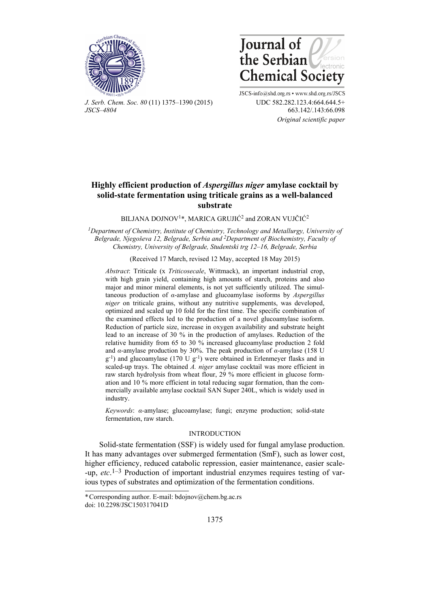



*J. Serb. Chem. Soc. 80* (11) 1375–1390 (2015) UDC 582.282.123.4:664.644.5+ *JSCS–4804* 663.142/.143:66.098

JSCS-info@shd.org.rs • www.shd.org.rs/JSCS  *Original scientific paper*

# **Highly efficient production of** *Aspergillus niger* **amylase cocktail by solid-state fermentation using triticale grains as a well-balanced substrate**

## BILJANA DOJNOV1\*, MARICA GRUJIĆ2 and ZORAN VUJČIĆ2

*1Department of Chemistry, Institute of Chemistry, Technology and Metallurgy, University of Belgrade, Njegoševa 12, Belgrade, Serbia and 2Department of Biochemistry, Faculty of Chemistry, University of Belgrade, Studentski trg 12–16, Belgrade, Serbia* 

## (Received 17 March, revised 12 May, accepted 18 May 2015)

*Abstract*: Triticale (x *Triticosecale*, Wittmack), an important industrial crop, with high grain yield, containing high amounts of starch, proteins and also major and minor mineral elements, is not yet sufficiently utilized. The simultaneous production of *α*-amylase and glucoamylase isoforms by *Aspergillus niger* on triticale grains, without any nutritive supplements, was developed, optimized and scaled up 10 fold for the first time. The specific combination of the examined effects led to the production of a novel glucoamylase isoform. Reduction of particle size, increase in oxygen availability and substrate height lead to an increase of 30 % in the production of amylases. Reduction of the relative humidity from 65 to 30 % increased glucoamylase production 2 fold and  $\alpha$ -amylase production by 30%. The peak production of  $\alpha$ -amylase (158 U  $g^{-1}$ ) and glucoamylase (170 U g<sup>-1</sup>) were obtained in Erlenmeyer flasks and in scaled-up trays. The obtained *A. niger* amylase cocktail was more efficient in raw starch hydrolysis from wheat flour, 29 % more efficient in glucose formation and 10 % more efficient in total reducing sugar formation, than the commercially available amylase cocktail SAN Super 240L, which is widely used in industry.

*Keywords*: *α-*amylase; glucoamylase; fungi; enzyme production; solid-state fermentation, raw starch.

## INTRODUCTION

Solid-state fermentation (SSF) is widely used for fungal amylase production. It has many advantages over submerged fermentation (SmF), such as lower cost, higher efficiency, reduced catabolic repression, easier maintenance, easier scale- -up, *etc*. 1–3 Production of important industrial enzymes requires testing of various types of substrates and optimization of the fermentation conditions.

<sup>\*</sup> Corresponding author. E-mail: bdojnov@chem.bg.ac.rs doi: 10.2298/JSC150317041D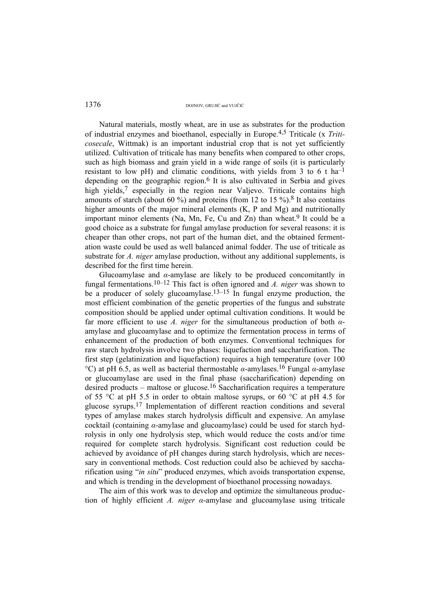Natural materials, mostly wheat, are in use as substrates for the production of industrial enzymes and bioethanol, especially in Europe.4,5 Triticale (x *Triticosecale*, Wittmak) is an important industrial crop that is not yet sufficiently utilized. Cultivation of triticale has many benefits when compared to other crops, such as high biomass and grain yield in a wide range of soils (it is particularly resistant to low pH) and climatic conditions, with yields from 3 to 6 t ha<sup>-1</sup> depending on the geographic region.6 It is also cultivated in Serbia and gives high yields,<sup>7</sup> especially in the region near Valievo. Triticale contains high amounts of starch (about 60 %) and proteins (from 12 to 15 %).<sup>8</sup> It also contains higher amounts of the major mineral elements (K, P and Mg) and nutritionally important minor elements (Na, Mn, Fe, Cu and Zn) than wheat.<sup>9</sup> It could be a good choice as a substrate for fungal amylase production for several reasons: it is cheaper than other crops, not part of the human diet, and the obtained fermentation waste could be used as well balanced animal fodder. The use of triticale as substrate for *A. niger* amylase production, without any additional supplements, is described for the first time herein.

Glucoamylase and *α*-amylase are likely to be produced concomitantly in fungal fermentations.10–12 This fact is often ignored and *A. niger* was shown to be a producer of solely glucoamylase.<sup>13–15</sup> In fungal enzyme production, the most efficient combination of the genetic properties of the fungus and substrate composition should be applied under optimal cultivation conditions. It would be far more efficient to use *A. niger* for the simultaneous production of both *α*amylase and glucoamylase and to optimize the fermentation process in terms of enhancement of the production of both enzymes. Conventional techniques for raw starch hydrolysis involve two phases: liquefaction and saccharification. The first step (gelatinization and liquefaction) requires a high temperature (over 100 <sup>o</sup>C) at pH 6.5, as well as bacterial thermostable  $\alpha$ -amylases.<sup>16</sup> Fungal  $\alpha$ -amylase or glucoamylase are used in the final phase (saccharification) depending on desired products – maltose or glucose.<sup>16</sup> Saccharification requires a temperature of 55  $\degree$ C at pH 5.5 in order to obtain maltose syrups, or 60  $\degree$ C at pH 4.5 for glucose syrups.17 Implementation of different reaction conditions and several types of amylase makes starch hydrolysis difficult and expensive. An amylase cocktail (containing *α*-amylase and glucoamylase) could be used for starch hydrolysis in only one hydrolysis step, which would reduce the costs and/or time required for complete starch hydrolysis. Significant cost reduction could be achieved by avoidance of pH changes during starch hydrolysis, which are necessary in conventional methods. Cost reduction could also be achieved by saccharification using "*in situ*" produced enzymes, which avoids transportation expense, and which is trending in the development of bioethanol processing nowadays.

The aim of this work was to develop and optimize the simultaneous production of highly efficient *A. niger α*-amylase and glucoamylase using triticale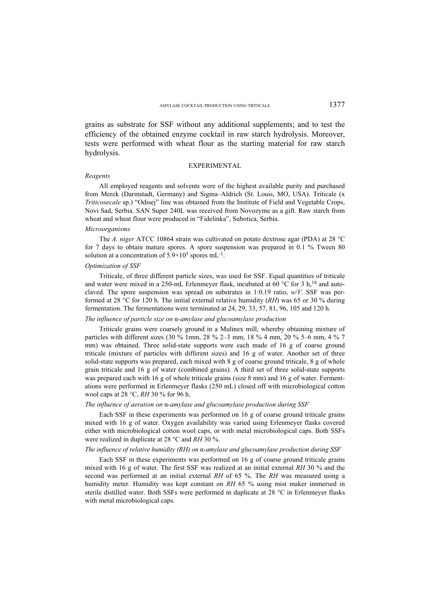grains as substrate for SSF without any additional supplements; and to test the efficiency of the obtained enzyme cocktail in raw starch hydrolysis. Moreover, tests were performed with wheat flour as the starting material for raw starch hydrolysis.

## EXPERIMENTAL

#### *Reagents*

All employed reagents and solvents were of the highest available purity and purchased from Merck (Darmstadt, Germany) and Sigma–Aldrich (St. Louis, MO, USA). Triticale (x *Triticosecale* sp.) "Odisej" line was obtained from the Institute of Field and Vegetable Crops, Novi Sad, Serbia. SAN Super 240L was received from Novozyme as a gift. Raw starch from wheat and wheat flour were produced in "Fidelinka", Subotica, Serbia.

#### *Microorganisms*

The *A. niger* ATCC 10864 strain was cultivated on potato dextrose agar (PDA) at 28 °C for 7 days to obtain mature spores. A spore suspension was prepared in 0.1 % Tween 80 solution at a concentration of  $5.9 \times 10^5$  spores mL<sup>-1</sup>.

## *Optimization of SSF*

Triticale, of three different particle sizes, was used for SSF. Equal quantities of triticale and water were mixed in a 250-mL Erlenmeyer flask, incubated at 60  $\rm{^{\circ}C}$  for 3 h,<sup>18</sup> and autoclaved. The spore suspension was spread on substrates in 1:0.19 ratio, *w*/*V*. SSF was performed at 28 °C for 120 h. The initial external relative humidity (*RH*) was 65 or 30 % during fermentation. The fermentations were terminated at 24, 29, 33, 57, 81, 96, 105 and 120 h.

## *The influence of particle size on* α*-amylase and glucoamylase production*

Triticale grains were coarsely ground in a Mulinex mill, whereby obtaining mixture of particles with different sizes (30 % 1mm, 28 % 2–3 mm, 18 % 4 mm, 20 % 5–6 mm, 4 % 7 mm) was obtained. Three solid-state supports were each made of 16 g of coarse ground triticale (mixture of particles with different sizes) and 16 g of water. Another set of three solid-state supports was prepared, each mixed with 8 g of coarse ground triticale, 8 g of whole grain triticale and 16 g of water (combined grains). A third set of three solid-state supports was prepared each with 16 g of whole triticale grains (size 8 mm) and 16 g of water. Fermentations were performed in Erlenmeyer flasks (250 mL) closed off with microbiological cotton wool caps at 28 °C, *RH* 30 % for 96 h.

## *The influence of aeration on* α*-amylase and glucoamylase production during SSF*

Each SSF in these experiments was performed on 16 g of coarse ground triticale grains mixed with 16 g of water. Oxygen availability was varied using Erlenmeyer flasks covered either with microbiological cotton wool caps, or with metal microbiological caps. Both SSFs were realized in duplicate at 28 °C and *RH* 30 %.

### *The influence of relative humidity (RH) on* α*-amylase and glucoamylase production during SSF*

Each SSF in these experiments was performed on 16 g of coarse ground triticale grains mixed with 16 g of water. The first SSF was realized at an initial external *RH* 30 % and the second was performed at an initial external *RH* of 65 %. The *RH* was measured using a humidity meter. Humidity was kept constant on *RH* 65 % using mist maker immersed in sterile distilled water. Both SSFs were performed in duplicate at 28 °C in Erlenmeyer flasks with metal microbiological caps.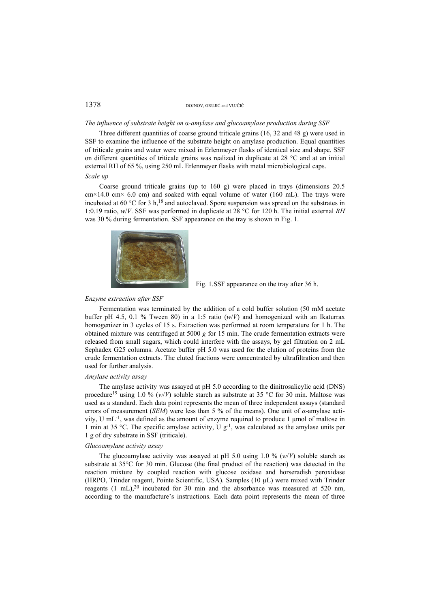#### *The influence of substrate height on* α*-amylase and glucoamylase production during SSF*

Three different quantities of coarse ground triticale grains (16, 32 and 48 g) were used in SSF to examine the influence of the substrate height on amylase production. Equal quantities of triticale grains and water were mixed in Erlenmeyer flasks of identical size and shape. SSF on different quantities of triticale grains was realized in duplicate at 28 °C and at an initial external RH of 65 %, using 250 mL Erlenmeyer flasks with metal microbiological caps. *Scale up* 

Coarse ground triticale grains (up to 160 g) were placed in trays (dimensions 20.5  $cm \times 14.0$  cm $\times$  6.0 cm) and soaked with equal volume of water (160 mL). The trays were incubated at 60 °C for 3 h,<sup>18</sup> and autoclaved. Spore suspension was spread on the substrates in 1:0.19 ratio, *w*/*V*. SSF was performed in duplicate at 28 °C for 120 h. The initial external *RH* was 30 % during fermentation. SSF appearance on the tray is shown in Fig. 1.





#### *Enzyme extraction after SSF*

Fermentation was terminated by the addition of a cold buffer solution (50 mM acetate buffer pH 4.5, 0.1 % Tween 80) in a 1:5 ratio  $(w/V)$  and homogenized with an Ikaturrax homogenizer in 3 cycles of 15 s. Extraction was performed at room temperature for 1 h. The obtained mixture was centrifuged at 5000 *g* for 15 min. The crude fermentation extracts were released from small sugars, which could interfere with the assays, by gel filtration on 2 mL Sephadex G25 columns. Acetate buffer pH 5.0 was used for the elution of proteins from the crude fermentation extracts. The eluted fractions were concentrated by ultrafiltration and then used for further analysis.

### *Amylase activity assay*

The amylase activity was assayed at pH 5.0 according to the dinitrosalicylic acid (DNS) procedure<sup>19</sup> using 1.0 % ( $w/V$ ) soluble starch as substrate at 35 °C for 30 min. Maltose was used as a standard. Each data point represents the mean of three independent assays (standard errors of measurement (*SEM*) were less than 5 % of the means). One unit of *α*-amylase activity, U mL-1, was defined as the amount of enzyme required to produce 1 μmol of maltose in 1 min at 35 °C. The specific amylase activity, U  $g^{-1}$ , was calculated as the amylase units per 1 g of dry substrate in SSF (triticale).

## *Glucoamylase activity assay*

The glucoamylase activity was assayed at pH 5.0 using 1.0 % (*w*/*V*) soluble starch as substrate at 35°C for 30 min. Glucose (the final product of the reaction) was detected in the reaction mixture by coupled reaction with glucose oxidase and horseradish peroxidase (HRPO, Trinder reagent, Pointe Scientific, USA). Samples (10 µL) were mixed with Trinder reagents  $(1 \text{ mL})$ ,  $20 \text{ incubated}$  for 30 min and the absorbance was measured at 520 nm, according to the manufacture's instructions. Each data point represents the mean of three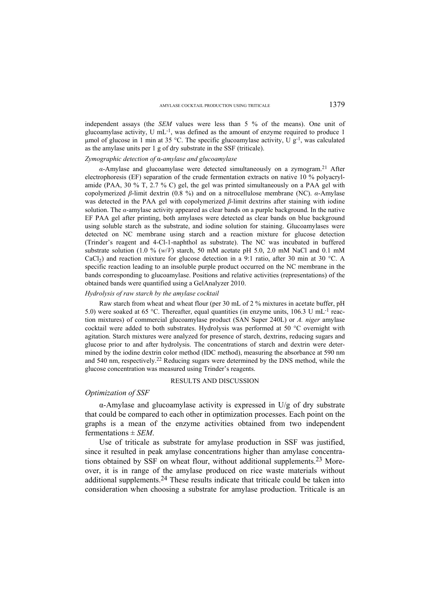independent assays (the *SEM* values were less than 5 % of the means). One unit of glucoamylase activity. U mL<sup>-1</sup>, was defined as the amount of enzyme required to produce 1 umol of glucose in 1 min at 35 °C. The specific glucoamylase activity,  $\overline{U}g^{-1}$ , was calculated as the amylase units per 1 g of dry substrate in the SSF (triticale).

## *Zymographic detection of* α*-amylase and glucoamylase*

*α*-Amylase and glucoamylase were detected simultaneously on a zymogram.21 After electrophoresis (EF) separation of the crude fermentation extracts on native 10 % polyacrylamide (PAA, 30 % T, 2.7 % C) gel, the gel was printed simultaneously on a PAA gel with copolymerized *β*-limit dextrin (0.8 %) and on a nitrocellulose membrane (NC). *α*-Amylase was detected in the PAA gel with copolymerized *β*-limit dextrins after staining with iodine solution. The *α*-amylase activity appeared as clear bands on a purple background. In the native EF PAA gel after printing, both amylases were detected as clear bands on blue background using soluble starch as the substrate, and iodine solution for staining. Glucoamylases were detected on NC membrane using starch and a reaction mixture for glucose detection (Trinder's reagent and 4-Cl-1-naphthol as substrate). The NC was incubated in buffered substrate solution (1.0 %  $(w/V)$  starch, 50 mM acetate pH 5.0, 2.0 mM NaCl and 0.1 mM CaCl<sub>2</sub>) and reaction mixture for glucose detection in a 9:1 ratio, after 30 min at 30 °C. A specific reaction leading to an insoluble purple product occurred on the NC membrane in the bands corresponding to glucoamylase. Positions and relative activities (representations) of the obtained bands were quantified using a GelAnalyzer 2010.

### *Hydrolysis of raw starch by the amylase cocktail*

Raw starch from wheat and wheat flour (per 30 mL of 2 % mixtures in acetate buffer, pH 5.0) were soaked at 65 °C. Thereafter, equal quantities (in enzyme units, 106.3 U mL<sup>-1</sup> reaction mixtures) of commercial glucoamylase product (SAN Super 240L) or *A. niger* amylase cocktail were added to both substrates. Hydrolysis was performed at 50 °C overnight with agitation. Starch mixtures were analyzed for presence of starch, dextrins, reducing sugars and glucose prior to and after hydrolysis. The concentrations of starch and dextrin were determined by the iodine dextrin color method (IDC method), measuring the absorbance at 590 nm and 540 nm, respectively.22 Reducing sugars were determined by the DNS method, while the glucose concentration was measured using Trinder's reagents.

#### RESULTS AND DISCUSSION

## *Optimization of SSF*

α-Amylase and glucoamylase activity is expressed in U/g of dry substrate that could be compared to each other in optimization processes. Each point on the graphs is a mean of the enzyme activities obtained from two independent fermentations ± *SEM*.

Use of triticale as substrate for amylase production in SSF was justified, since it resulted in peak amylase concentrations higher than amylase concentrations obtained by SSF on wheat flour, without additional supplements.23 Moreover, it is in range of the amylase produced on rice waste materials without additional supplements.24 These results indicate that triticale could be taken into consideration when choosing a substrate for amylase production. Triticale is an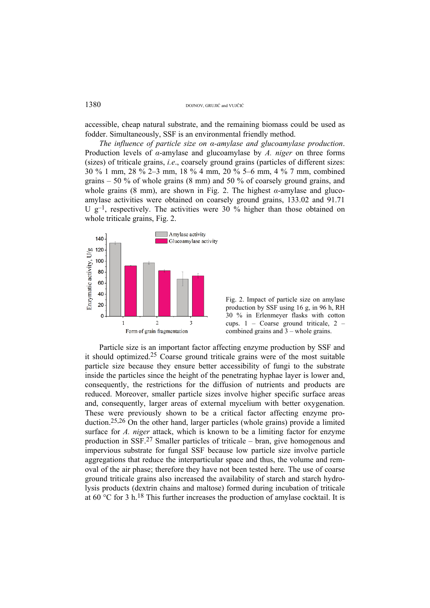accessible, cheap natural substrate, and the remaining biomass could be used as fodder. Simultaneously, SSF is an environmental friendly method.

*The influence of particle size on α-amylase and glucoamylase production*. Production levels of *α*-amylase and glucoamylase by *A. niger* on three forms (sizes) of triticale grains, *i.e*., coarsely ground grains (particles of different sizes: 30 % 1 mm, 28 % 2–3 mm, 18 % 4 mm, 20 % 5–6 mm, 4 % 7 mm, combined grains  $-50\%$  of whole grains (8 mm) and 50 % of coarsely ground grains, and whole grains (8 mm), are shown in Fig. 2. The highest *α*-amylase and glucoamylase activities were obtained on coarsely ground grains, 133.02 and 91.71 U  $g^{-1}$ , respectively. The activities were 30 % higher than those obtained on whole triticale grains, Fig. 2.



Fig. 2. Impact of particle size on amylase production by SSF using 16 g, in 96 h, RH 30 % in Erlenmeyer flasks with cotton cups. 1 – Coarse ground triticale, 2 – combined grains and  $3$  – whole grains.

Particle size is an important factor affecting enzyme production by SSF and it should optimized.25 Coarse ground triticale grains were of the most suitable particle size because they ensure better accessibility of fungi to the substrate inside the particles since the height of the penetrating hyphae layer is lower and, consequently, the restrictions for the diffusion of nutrients and products are reduced. Moreover, smaller particle sizes involve higher specific surface areas and, consequently, larger areas of external mycelium with better oxygenation. These were previously shown to be a critical factor affecting enzyme production.25,26 On the other hand, larger particles (whole grains) provide a limited surface for *A. niger* attack, which is known to be a limiting factor for enzyme production in SSF.27 Smaller particles of triticale – bran, give homogenous and impervious substrate for fungal SSF because low particle size involve particle aggregations that reduce the interparticular space and thus, the volume and removal of the air phase; therefore they have not been tested here. The use of coarse ground triticale grains also increased the availability of starch and starch hydrolysis products (dextrin chains and maltose) formed during incubation of triticale at 60 °C for 3 h.<sup>18</sup> This further increases the production of amylase cocktail. It is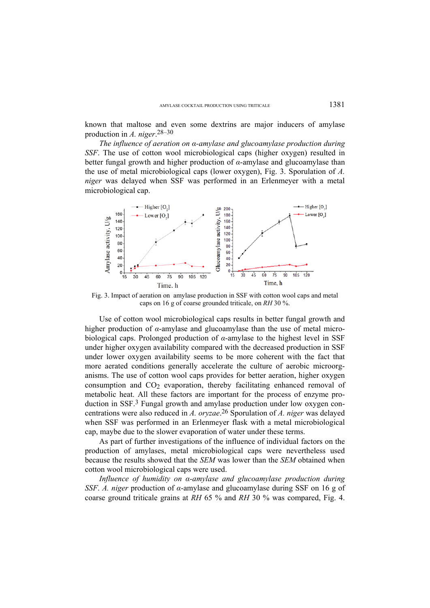known that maltose and even some dextrins are major inducers of amylase production in *A. niger*. 28–30

*The influence of aeration on α-amylase and glucoamylase production during SSF*. The use of cotton wool microbiological caps (higher oxygen) resulted in better fungal growth and higher production of *α*-amylase and glucoamylase than the use of metal microbiological caps (lower oxygen), Fig. 3. Sporulation of *A. niger* was delayed when SSF was performed in an Erlenmeyer with a metal microbiological cap.



Fig. 3. Impact of aeration on amylase production in SSF with cotton wool caps and metal caps on 16 g of coarse grounded triticale, on *RH* 30 %.

Use of cotton wool microbiological caps results in better fungal growth and higher production of *α*-amylase and glucoamylase than the use of metal microbiological caps. Prolonged production of *α*-amylase to the highest level in SSF under higher oxygen availability compared with the decreased production in SSF under lower oxygen availability seems to be more coherent with the fact that more aerated conditions generally accelerate the culture of aerobic microorganisms. The use of cotton wool caps provides for better aeration, higher oxygen consumption and  $CO<sub>2</sub>$  evaporation, thereby facilitating enhanced removal of metabolic heat. All these factors are important for the process of enzyme production in SSF.3 Fungal growth and amylase production under low oxygen concentrations were also reduced in *A. oryzae*. 26 Sporulation of *A. niger* was delayed when SSF was performed in an Erlenmeyer flask with a metal microbiological cap, maybe due to the slower evaporation of water under these terms.

As part of further investigations of the influence of individual factors on the production of amylases, metal microbiological caps were nevertheless used because the results showed that the *SEM* was lower than the *SEM* obtained when cotton wool microbiological caps were used.

*Influence of humidity on α-amylase and glucoamylase production during SSF. A. niger* production of *α*-amylase and glucoamylase during SSF on 16 g of coarse ground triticale grains at *RH* 65 % and *RH* 30 % was compared, Fig. 4.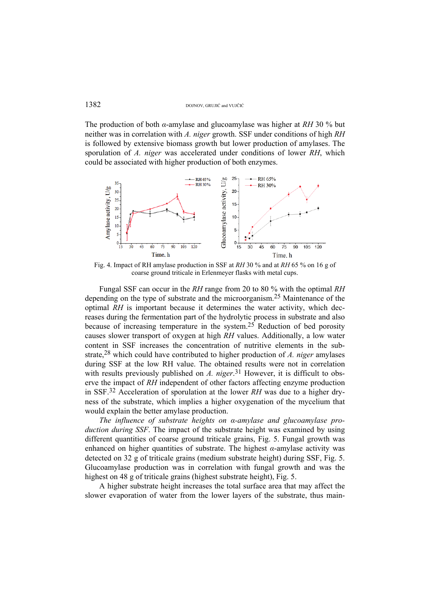The production of both *α*-amylase and glucoamylase was higher at *RH* 30 % but neither was in correlation with *A. niger* growth. SSF under conditions of high *RH* is followed by extensive biomass growth but lower production of amylases. The sporulation of *A. niger* was accelerated under conditions of lower *RH*, which could be associated with higher production of both enzymes.



Fig. 4. Impact of RH amylase production in SSF at *RH* 30 % and at *RH* 65 % on 16 g of coarse ground triticale in Erlenmeyer flasks with metal cups.

Fungal SSF can occur in the *RH* range from 20 to 80 % with the optimal *RH* depending on the type of substrate and the microorganism.25 Maintenance of the optimal *RH* is important because it determines the water activity, which decreases during the fermentation part of the hydrolytic process in substrate and also because of increasing temperature in the system.25 Reduction of bed porosity causes slower transport of oxygen at high *RH* values. Additionally, a low water content in SSF increases the concentration of nutritive elements in the substrate,28 which could have contributed to higher production of *A. niger* amylases during SSF at the low RH value. The obtained results were not in correlation with results previously published on *A. niger*.<sup>31</sup> However, it is difficult to observe the impact of *RH* independent of other factors affecting enzyme production in SSF.32 Acceleration of sporulation at the lower *RH* was due to a higher dryness of the substrate, which implies a higher oxygenation of the mycelium that would explain the better amylase production.

*The influence of substrate heights on α-amylase and glucoamylase production during SSF*. The impact of the substrate height was examined by using different quantities of coarse ground triticale grains, Fig. 5. Fungal growth was enhanced on higher quantities of substrate. The highest *α*-amylase activity was detected on 32 g of triticale grains (medium substrate height) during SSF, Fig. 5. Glucoamylase production was in correlation with fungal growth and was the highest on 48 g of triticale grains (highest substrate height), Fig. 5.

A higher substrate height increases the total surface area that may affect the slower evaporation of water from the lower layers of the substrate, thus main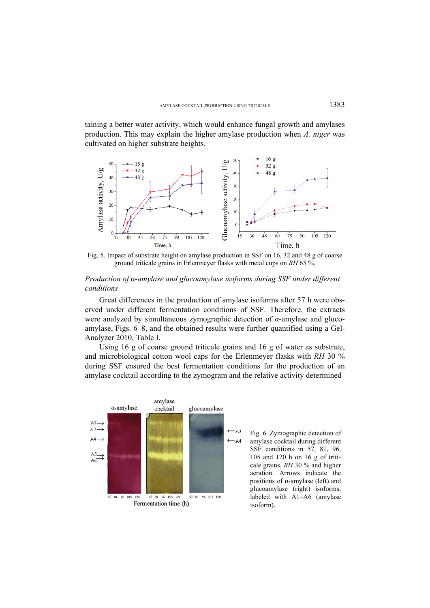taining a better water activity, which would enhance fungal growth and amylases production. This may explain the higher amylase production when *A. niger* was cultivated on higher substrate heights.



Fig. 5. Impact of substrate height on amylase production in SSF on 16, 32 and 48 g of coarse ground triticale grains in Erlenmeyer flasks with metal cups on *RH* 65 %.

## *Production of* α*-amylase and glucoamylase isoforms during SSF under different conditions*

Great differences in the production of amylase isoforms after 57 h were observed under different fermentation conditions of SSF. Therefore, the extracts were analyzed by simultaneous zymographic detection of *α*-amylase and glucoamylase, Figs. 6–8, and the obtained results were further quantified using a Gel-Analyzer 2010, Table I.

Using 16 g of coarse ground triticale grains and 16 g of water as substrate, and microbiological cotton wool caps for the Erlenmeyer flasks with *RH* 30 % during SSF ensured the best fermentation conditions for the production of an amylase cocktail according to the zymogram and the relative activity determined



Fig. 6. Zymographic detection of amylase cocktail during different SSF conditions in 57, 81, 96, 105 and 120 h on 16 g of triticale grains, *RH* 30 % and higher aeration. Arrows indicate the positions of α-amylase (left) and glucoamylase (right) isoforms, labeled with A1–A6 (amylase isoform).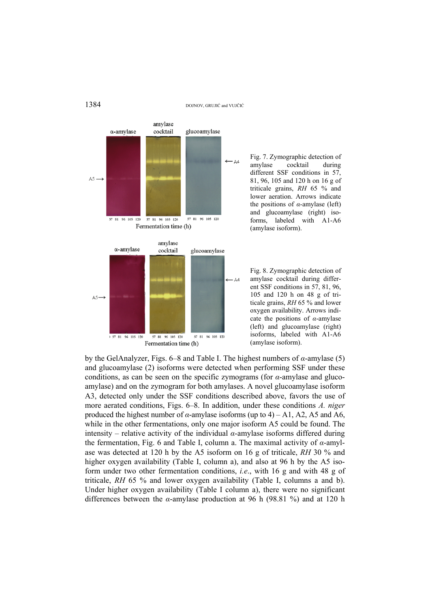1384 DOJNOV, GRUJIĆ and VUJČIĆ



Fig. 7. Zymographic detection of<br>amylase cocktail during cocktail during different SSF conditions in 57, 81, 96, 105 and 120 h on 16 g of triticale grains, *RH* 65 % and lower aeration. Arrows indicate the positions of *α*-amylase (left) and glucoamylase (right) isoforms, labeled with A1-A6 (amylase isoform).

Fig. 8. Zymographic detection of amylase cocktail during different SSF conditions in 57, 81, 96, 105 and 120 h on 48 g of triticale grains, *RH* 65 % and lower oxygen availability. Arrows indicate the positions of *α*-amylase (left) and glucoamylase (right) isoforms, labeled with A1-A6 (amylase isoform).

by the GelAnalyzer, Figs. 6–8 and Table I. The highest numbers of *α*-amylase (5) and glucoamylase (2) isoforms were detected when performing SSF under these conditions, as can be seen on the specific zymograms (for *α*-amylase and glucoamylase) and on the zymogram for both amylases. A novel glucoamylase isoform A3, detected only under the SSF conditions described above, favors the use of more aerated conditions, Figs. 6–8. In addition, under these conditions *A. niger*  produced the highest number of  $\alpha$ -amylase isoforms (up to 4) – A1, A2, A5 and A6, while in the other fermentations, only one major isoform A5 could be found. The intensity – relative activity of the individual *α*-amylase isoforms differed during the fermentation, Fig. 6 and Table I, column a. The maximal activity of *α*-amylase was detected at 120 h by the A5 isoform on 16 g of triticale, *RH* 30 % and higher oxygen availability (Table I, column a), and also at 96 h by the A5 isoform under two other fermentation conditions, *i.e*., with 16 g and with 48 g of triticale, *RH* 65 % and lower oxygen availability (Table I, columns a and b). Under higher oxygen availability (Table I column a), there were no significant differences between the *α*-amylase production at 96 h (98.81 %) and at 120 h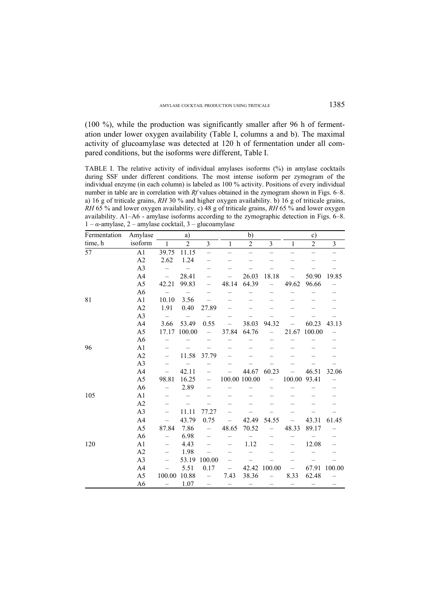(100 %), while the production was significantly smaller after 96 h of fermentation under lower oxygen availability (Table I, columns a and b). The maximal activity of glucoamylase was detected at 120 h of fermentation under all compared conditions, but the isoforms were different, Table I.

TABLE I. The relative activity of individual amylases isoforms (%) in amylase cocktails during SSF under different conditions. The most intense isoform per zymogram of the individual enzyme (in each column) is labeled as 100 % activity. Positions of every individual number in table are in correlation with *Rf* values obtained in the zymogram shown in Figs. 6–8. a) 16 g of triticale grains, *RH* 30 % and higher oxygen availability. b) 16 g of triticale grains, *RH* 65 % and lower oxygen availability. c) 48 g of triticale grains, *RH* 65 % and lower oxygen availability. A1–A6 - amylase isoforms according to the zymographic detection in Figs. 6–8.  $1 - \alpha$ -amylase,  $2 -$ amylase cocktail,  $3 -$ glucoamylase

| Fermentation | Amylase        |                          | a)             |                          |                   | b)                       |        |                          | $\circ$ )      |        |
|--------------|----------------|--------------------------|----------------|--------------------------|-------------------|--------------------------|--------|--------------------------|----------------|--------|
| time, h      | isoform        | 1                        | $\overline{c}$ | 3                        | 1                 | $\overline{2}$           | 3      | 1                        | $\overline{2}$ | 3      |
| 57           | A1             | 39.75                    | 11.15          | $\overline{\phantom{0}}$ |                   | $\overline{\phantom{0}}$ |        |                          |                |        |
|              | A2             | 2.62                     | 1.24           |                          |                   |                          |        |                          |                |        |
|              | A <sub>3</sub> |                          |                |                          |                   |                          |        |                          |                |        |
|              | A <sub>4</sub> | $\overline{\phantom{0}}$ | 28.41          |                          |                   | 26.03                    | 18.18  |                          | 50.90          | 19.85  |
|              | A5             | 42.21                    | 99.83          |                          | 48.14             | 64.39                    |        | 49.62                    | 96.66          |        |
|              | A <sub>6</sub> |                          |                |                          |                   |                          |        |                          |                |        |
| 81           | A <sub>1</sub> | 10.10                    | 3.56           |                          |                   |                          |        |                          |                |        |
|              | A2             | 1.91                     | 0.40           | 27.89                    |                   |                          |        |                          |                |        |
|              | A <sub>3</sub> | $\overline{\phantom{0}}$ |                |                          |                   |                          |        |                          |                |        |
|              | A <sub>4</sub> | 3.66                     | 53.49          | 0.55                     |                   | 38.03                    | 94.32  |                          | 60.23          | 43.13  |
|              | A5             | 17.17                    | 100.00         | $\overline{\phantom{0}}$ | 37.84             | 64.76                    |        | 21.67                    | 100.00         |        |
|              | A <sub>6</sub> | -                        |                |                          |                   |                          |        |                          |                |        |
| 96           | A <sub>1</sub> |                          |                |                          |                   |                          |        |                          |                |        |
|              | A2             | $\overline{\phantom{0}}$ | 11.58          | 37.79                    |                   |                          |        |                          |                |        |
|              | A <sub>3</sub> |                          |                |                          |                   |                          |        |                          |                |        |
|              | A <sub>4</sub> |                          | 42.11          |                          |                   | 44.67                    | 60.23  |                          | 46.51          | 32.06  |
|              | A <sub>5</sub> | 98.81                    | 16.25          |                          |                   | 100.00 100.00            |        | 100.00                   | 93.41          |        |
|              | A <sub>6</sub> |                          | 2.89           |                          |                   |                          |        |                          |                |        |
| 105          | A <sub>1</sub> |                          |                |                          |                   |                          |        |                          |                |        |
|              | A2             |                          |                |                          |                   |                          |        |                          |                |        |
|              | A <sub>3</sub> |                          | 11.11          | 77.27                    |                   |                          |        |                          |                |        |
|              | A <sub>4</sub> |                          | 43.79          | 0.75                     |                   | 42.49                    | 54.55  |                          | 43.31          | 61.45  |
|              | A <sub>5</sub> | 87.84                    | 7.86           |                          | 48.65             | 70.52                    |        | 48.33                    | 89.17          |        |
|              | A <sub>6</sub> |                          | 6.98           |                          |                   |                          |        |                          |                |        |
| 120          | A <sub>1</sub> |                          | 4.43           |                          |                   | 1.12                     |        |                          | 12.08          |        |
|              | A2             |                          | 1.98           |                          |                   |                          |        |                          |                |        |
|              | A <sub>3</sub> |                          | 53.19          | 100.00                   |                   |                          |        |                          |                |        |
|              | A <sub>4</sub> |                          | 5.51           | 0.17                     | $\qquad \qquad -$ | 42.42                    | 100.00 | $\overline{\phantom{0}}$ | 67.91          | 100.00 |
|              | A5             | 100.00                   | 10.88          | $\overline{\phantom{0}}$ | 7.43              | 38.36                    |        | 8.33                     | 62.48          |        |
|              | A <sub>6</sub> |                          | 1.07           |                          |                   |                          |        | -                        |                |        |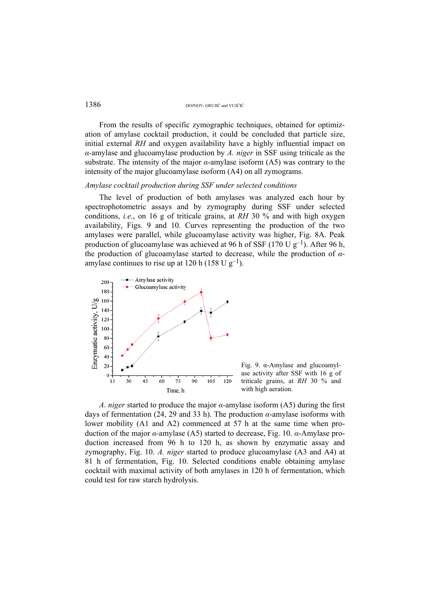From the results of specific zymographic techniques, obtained for optimization of amylase cocktail production, it could be concluded that particle size, initial external *RH* and oxygen availability have a highly influential impact on *α*-amylase and glucoamylase production by *A. niger* in SSF using triticale as the substrate. The intensity of the major *α*-amylase isoform (A5) was contrary to the intensity of the major glucoamylase isoform (A4) on all zymograms.

## *Amylase cocktail production during SSF under selected conditions*

The level of production of both amylases was analyzed each hour by spectrophotometric assays and by zymography during SSF under selected conditions, *i.e*., on 16 g of triticale grains, at *RH* 30 % and with high oxygen availability, Figs. 9 and 10. Curves representing the production of the two amylases were parallel, while glucoamylase activity was higher, Fig. 8A. Peak production of glucoamylase was achieved at 96 h of SSF (170 U  $g^{-1}$ ). After 96 h, the production of glucoamylase started to decrease, while the production of *α*amylase continues to rise up at 120 h (158 U  $g^{-1}$ ).



Fig. 9. α-Amylase and glucoamylase activity after SSF with 16 g of triticale grains, at *RH* 30 % and with high aeration.

*A. niger* started to produce the major *α*-amylase isoform (A5) during the first days of fermentation (24, 29 and 33 h). The production *α*-amylase isoforms with lower mobility (A1 and A2) commenced at 57 h at the same time when production of the major *α*-amylase (A5) started to decrease, Fig. 10. *α*-Amylase production increased from 96 h to 120 h, as shown by enzymatic assay and zymography, Fig. 10. *A. niger* started to produce glucoamylase (A3 and A4) at 81 h of fermentation, Fig. 10. Selected conditions enable obtaining amylase cocktail with maximal activity of both amylases in 120 h of fermentation, which could test for raw starch hydrolysis.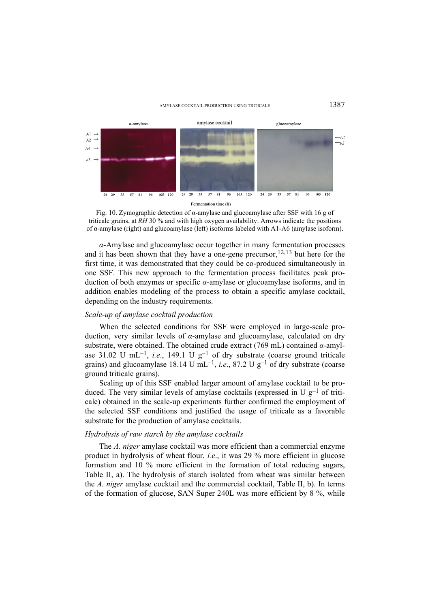#### AMYLASE COCKTAIL PRODUCTION USING TRITICALE  $1387$



Fig. 10. Zymographic detection of  $\alpha$ -amylase and glucoamylase after SSF with 16 g of triticale grains, at *RH* 30 % and with high oxygen availability. Arrows indicate the positions of α-amylase (right) and glucoamylase (left) isoforms labeled with A1-A6 (amylase isoform).

*α*-Amylase and glucoamylase occur together in many fermentation processes and it has been shown that they have a one-gene precursor,  $12,13$  but here for the first time, it was demonstrated that they could be co-produced simultaneously in one SSF. This new approach to the fermentation process facilitates peak production of both enzymes or specific *α*-amylase or glucoamylase isoforms, and in addition enables modeling of the process to obtain a specific amylase cocktail, depending on the industry requirements.

## *Scale-up of amylase cocktail production*

When the selected conditions for SSF were employed in large-scale production, very similar levels of *α*-amylase and glucoamylase, calculated on dry substrate, were obtained. The obtained crude extract (769 mL) contained *α*-amylase 31.02 U mL<sup>-1</sup>, *i.e.*, 149.1 U g<sup>-1</sup> of dry substrate (coarse ground triticale grains) and glucoamylase 18.14 U mL<sup>-1</sup>, *i.e.*, 87.2 U g<sup>-1</sup> of dry substrate (coarse ground triticale grains).

Scaling up of this SSF enabled larger amount of amylase cocktail to be produced. The very similar levels of amylase cocktails (expressed in U  $g^{-1}$  of triticale) obtained in the scale-up experiments further confirmed the employment of the selected SSF conditions and justified the usage of triticale as a favorable substrate for the production of amylase cocktails.

## *Hydrolysis of raw starch by the amylase cocktails*

The *A. niger* amylase cocktail was more efficient than a commercial enzyme product in hydrolysis of wheat flour, *i.e*., it was 29 % more efficient in glucose formation and 10 % more efficient in the formation of total reducing sugars, Table II, a). The hydrolysis of starch isolated from wheat was similar between the *A. niger* amylase cocktail and the commercial cocktail, Table II, b). In terms of the formation of glucose, SAN Super 240L was more efficient by 8 %, while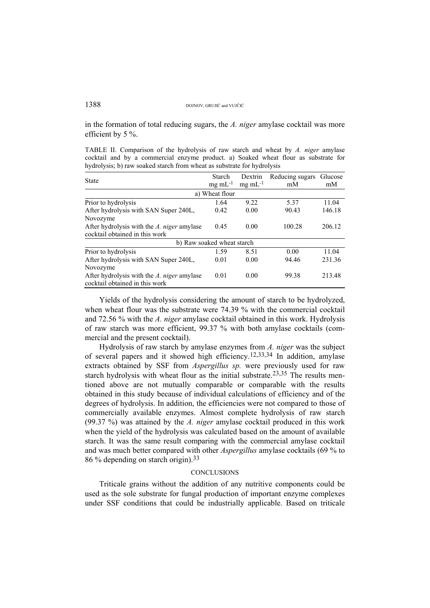in the formation of total reducing sugars, the *A. niger* amylase cocktail was more efficient by 5 %.

TABLE II. Comparison of the hydrolysis of raw starch and wheat by *A. niger* amylase cocktail and by a commercial enzyme product. a) Soaked wheat flour as substrate for hydrolysis; b) raw soaked starch from wheat as substrate for hydrolysis

| <b>State</b>                                                                 | Starch                     | Dextrin              | Reducing sugars | Glucose |  |  |  |  |  |  |
|------------------------------------------------------------------------------|----------------------------|----------------------|-----------------|---------|--|--|--|--|--|--|
|                                                                              | $mg \text{ mL}^{-1}$       | $mg \text{ mL}^{-1}$ | mM              | mM      |  |  |  |  |  |  |
| a) Wheat flour                                                               |                            |                      |                 |         |  |  |  |  |  |  |
| Prior to hydrolysis                                                          | 1.64                       | 9.22                 | 5.37            | 11.04   |  |  |  |  |  |  |
| After hydrolysis with SAN Super 240L,                                        | 0.42                       | 0.00                 | 90.43           | 146.18  |  |  |  |  |  |  |
| Novozyme                                                                     |                            |                      |                 |         |  |  |  |  |  |  |
| After hydrolysis with the A. niger amylase                                   | 0.45                       | 0.00                 | 100.28          | 206.12  |  |  |  |  |  |  |
| cocktail obtained in this work                                               |                            |                      |                 |         |  |  |  |  |  |  |
|                                                                              | b) Raw soaked wheat starch |                      |                 |         |  |  |  |  |  |  |
| Prior to hydrolysis                                                          | 1.59                       | 8.51                 | 0.00            | 11.04   |  |  |  |  |  |  |
| After hydrolysis with SAN Super 240L,                                        | 0.01                       | 0.00                 | 94.46           | 231.36  |  |  |  |  |  |  |
| Novozyme                                                                     |                            |                      |                 |         |  |  |  |  |  |  |
| After hydrolysis with the A. niger amylase<br>cocktail obtained in this work | 0.01                       | 0.00                 | 99.38           | 213.48  |  |  |  |  |  |  |

Yields of the hydrolysis considering the amount of starch to be hydrolyzed, when wheat flour was the substrate were 74.39 % with the commercial cocktail and 72.56 % with the *A. niger* amylase cocktail obtained in this work. Hydrolysis of raw starch was more efficient, 99.37 % with both amylase cocktails (commercial and the present cocktail).

Hydrolysis of raw starch by amylase enzymes from *A. niger* was the subject of several papers and it showed high efficiency.<sup>12,33,34</sup> In addition, amylase extracts obtained by SSF from *Aspergillus sp.* were previously used for raw starch hydrolysis with wheat flour as the initial substrate.<sup>23,35</sup> The results mentioned above are not mutually comparable or comparable with the results obtained in this study because of individual calculations of efficiency and of the degrees of hydrolysis. In addition, the efficiencies were not compared to those of commercially available enzymes. Almost complete hydrolysis of raw starch (99.37 %) was attained by the *A. niger* amylase cocktail produced in this work when the yield of the hydrolysis was calculated based on the amount of available starch. It was the same result comparing with the commercial amylase cocktail and was much better compared with other *Aspergillus* amylase cocktails (69 % to 86 % depending on starch origin).33

## **CONCLUSIONS**

Triticale grains without the addition of any nutritive components could be used as the sole substrate for fungal production of important enzyme complexes under SSF conditions that could be industrially applicable. Based on triticale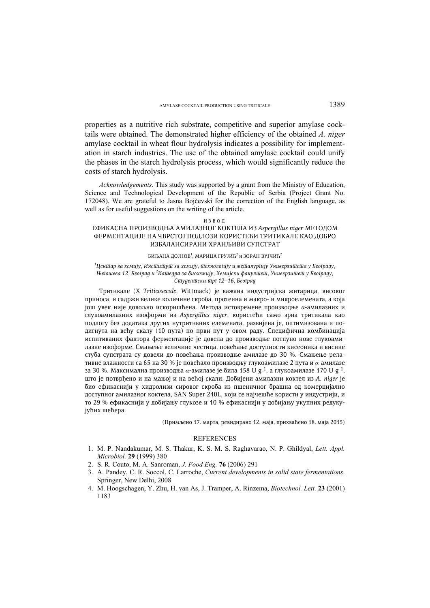properties as a nutritive rich substrate, competitive and superior amylase cocktails were obtained. The demonstrated higher efficiency of the obtained *A. niger* amylase cocktail in wheat flour hydrolysis indicates a possibility for implementation in starch industries. The use of the obtained amylase cocktail could unify the phases in the starch hydrolysis process, which would significantly reduce the costs of starch hydrolysis.

*Acknowledgements*. This study was supported by a grant from the Ministry of Education, Science and Technological Development of the Republic of Serbia (Project Grant No. 172048). We are grateful to Jasna Bojčevski for the correction of the English language, as well as for useful suggestions on the writing of the article.

#### ИЗВОД

## EФИКАСНА ПРОИЗВОДЊА АМИЛАЗНОГ КОКТЕЛА ИЗ *Aspergillus niger* МЕТОДОМ ФЕРМЕНТАЦИЈЕ НА ЧВРСТОЈ ПОДЛОЗИ КОРИСТЕЋИ ТРИТИКАЛЕ КАО ДОБРО ИЗБАЛАНСИРАНИ ХРАНЉИВИ СУПСТРАТ

#### БИЉАНА ДОЈНОВ<sup>1</sup>, МАРИЦА ГРУЈИЋ<sup>2</sup> и ЗОРАН ВУЈЧИЋ<sup>2</sup>

*1 Центар за хемију, Институт за хемију, технологију и металургију Универзитета у Београду, Његошева 12, Београд и <sup>2</sup> Катедра за биохемију, Хемијски факултет, Универзитет у Београду, Студентски трг 12–16, Београд*

Тритикалe (X *Triticosecale*, Wittmack) је важана индустријска житарица, високог приноса, и садржи велике количине скроба, протеина и макро- и микроелемената, а која још увек није довољно искоришћена. Метода истовремене производње *α*-амилазних и глукоамилазних изоформи из *Aspergillus niger*, користећи само зрна тритикала као подлогу без додатака других нутритивних елемената, развијена је, оптимизована и подигнута на већу скалу (10 пута) по први пут у овом раду. Специфична комбинација испитиваних фактора ферментације је довела до производње потпуно нове глукоамилазне изоформе. Смањење величине честица, повећање доступности кисеоника и висине стуба супстрата су довели до повећања производње амилазе до 30 %. Смањење релативне влажности са 65 на 30 % је повећало производњу глукоамилазе 2 пута и *α*-амилазе за 30 %. Максимална производња *α*-амилазе је била 158 U g-1, а глукоамилазе 170 U g-1, што је потврђено и на мањој и на већој скали. Добијени амилазни коктел из *A. niger* је био ефикаснији у хидролизи сировог скроба из пшеничног брашна од комерцијално доступног амилазног коктела, SAN Super 240L, који се најчешће користи у индустрији, и то 29 % ефикаснији у добијању глукозе и 10 % ефикаснији у добијању укупних редукујућих шећера.

(Примљено 17. марта, ревидирано 12. маја, прихваћено 18. маја 2015)

## **REFERENCES**

- 1. M. P. Nandakumar, M. S. Thakur, K. S. M. S. Raghavarao, N. P. Ghildyal, *Lett. Appl. Microbiol.* **29** (1999) 380
- 2. S. R. Couto, M. A. Sanroman, *J. Food Eng.* **76** (2006) 291
- 3. A. Pandey, C. R. Soccol, C. Larroche, *Current developments in solid state fermentations*. Springer, New Delhi, 2008
- 4. M. Hoogschagen, Y. Zhu, H. van As, J. Tramper, A. Rinzema, *Biotechnol. Lett.* **23** (2001) 1183